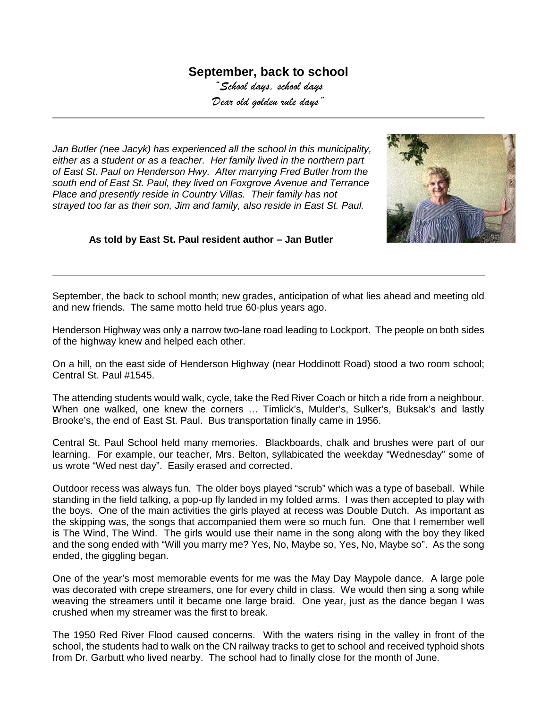## **September, back to school**

*"School days, school days Dear old golden rule days"*

*Jan Butler (nee Jacyk) has experienced all the school in this municipality, either as a student or as a teacher. Her family lived in the northern part of East St. Paul on Henderson Hwy. After marrying Fred Butler from the south end of East St. Paul, they lived on Foxgrove Avenue and Terrance Place and presently reside in Country Villas. Their family has not strayed too far as their son, Jim and family, also reside in East St. Paul.* 



## **As told by East St. Paul resident author – Jan Butler**

September, the back to school month; new grades, anticipation of what lies ahead and meeting old and new friends. The same motto held true 60-plus years ago.

Henderson Highway was only a narrow two-lane road leading to Lockport. The people on both sides of the highway knew and helped each other.

On a hill, on the east side of Henderson Highway (near Hoddinott Road) stood a two room school; Central St. Paul #1545.

The attending students would walk, cycle, take the Red River Coach or hitch a ride from a neighbour. When one walked, one knew the corners … Timlick's, Mulder's, Sulker's, Buksak's and lastly Brooke's, the end of East St. Paul. Bus transportation finally came in 1956.

Central St. Paul School held many memories. Blackboards, chalk and brushes were part of our learning. For example, our teacher, Mrs. Belton, syllabicated the weekday "Wednesday" some of us wrote "Wed nest day". Easily erased and corrected.

Outdoor recess was always fun. The older boys played "scrub" which was a type of baseball. While standing in the field talking, a pop-up fly landed in my folded arms. I was then accepted to play with the boys. One of the main activities the girls played at recess was Double Dutch. As important as the skipping was, the songs that accompanied them were so much fun. One that I remember well is The Wind, The Wind. The girls would use their name in the song along with the boy they liked and the song ended with "Will you marry me? Yes, No, Maybe so, Yes, No, Maybe so". As the song ended, the giggling began.

One of the year's most memorable events for me was the May Day Maypole dance. A large pole was decorated with crepe streamers, one for every child in class. We would then sing a song while weaving the streamers until it became one large braid. One year, just as the dance began I was crushed when my streamer was the first to break.

The 1950 Red River Flood caused concerns. With the waters rising in the valley in front of the school, the students had to walk on the CN railway tracks to get to school and received typhoid shots from Dr. Garbutt who lived nearby. The school had to finally close for the month of June.